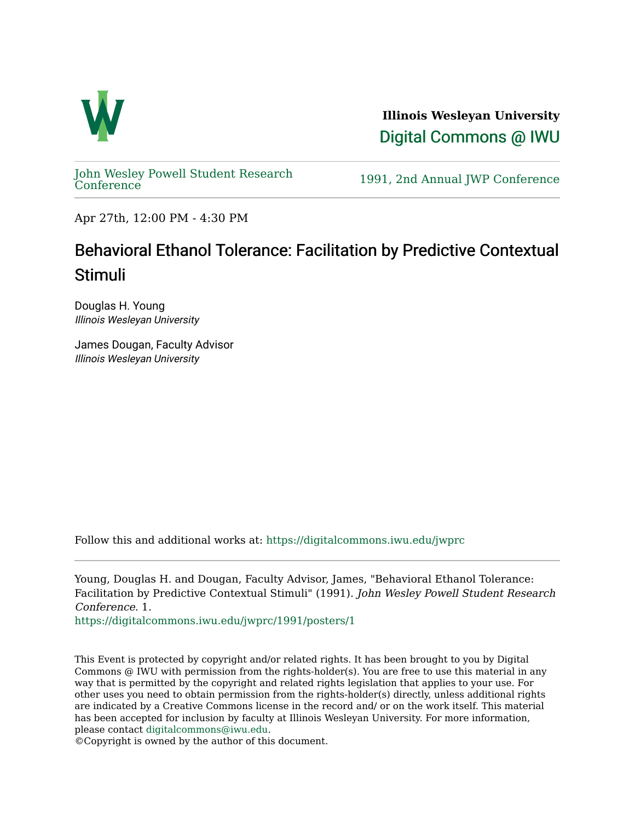

**Illinois Wesleyan University**  [Digital Commons @ IWU](https://digitalcommons.iwu.edu/) 

[John Wesley Powell Student Research](https://digitalcommons.iwu.edu/jwprc) 

1991, 2nd Annual JWP [Conference](https://digitalcommons.iwu.edu/jwprc)

Apr 27th, 12:00 PM - 4:30 PM

## Behavioral Ethanol Tolerance: Facilitation by Predictive Contextual Stimuli

Douglas H. Young Illinois Wesleyan University

James Dougan, Faculty Advisor Illinois Wesleyan University

Follow this and additional works at: [https://digitalcommons.iwu.edu/jwprc](https://digitalcommons.iwu.edu/jwprc?utm_source=digitalcommons.iwu.edu%2Fjwprc%2F1991%2Fposters%2F1&utm_medium=PDF&utm_campaign=PDFCoverPages) 

Young, Douglas H. and Dougan, Faculty Advisor, James, "Behavioral Ethanol Tolerance: Facilitation by Predictive Contextual Stimuli" (1991). John Wesley Powell Student Research Conference. 1.

[https://digitalcommons.iwu.edu/jwprc/1991/posters/1](https://digitalcommons.iwu.edu/jwprc/1991/posters/1?utm_source=digitalcommons.iwu.edu%2Fjwprc%2F1991%2Fposters%2F1&utm_medium=PDF&utm_campaign=PDFCoverPages) 

This Event is protected by copyright and/or related rights. It has been brought to you by Digital Commons @ IWU with permission from the rights-holder(s). You are free to use this material in any way that is permitted by the copyright and related rights legislation that applies to your use. For other uses you need to obtain permission from the rights-holder(s) directly, unless additional rights are indicated by a Creative Commons license in the record and/ or on the work itself. This material has been accepted for inclusion by faculty at Illinois Wesleyan University. For more information, please contact [digitalcommons@iwu.edu.](mailto:digitalcommons@iwu.edu)

©Copyright is owned by the author of this document.